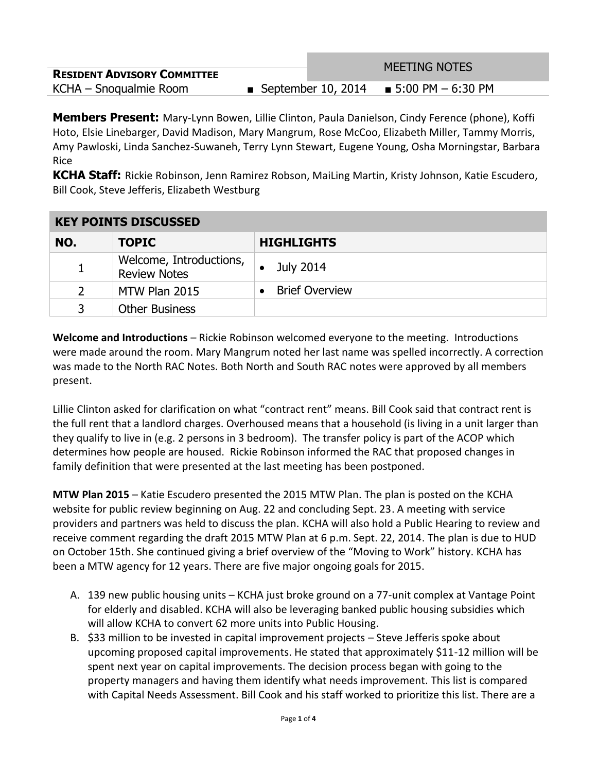|                                    |                      | <b>MEETING NOTES</b>  |  |
|------------------------------------|----------------------|-----------------------|--|
| <b>RESIDENT ADVISORY COMMITTEE</b> |                      |                       |  |
| KCHA – Snoqualmie Room             | ■ September 10, 2014 | ■ 5:00 PM $-$ 6:30 PM |  |

**Members Present:** Mary-Lynn Bowen, Lillie Clinton, Paula Danielson, Cindy Ference (phone), Koffi Hoto, Elsie Linebarger, David Madison, Mary Mangrum, Rose McCoo, Elizabeth Miller, Tammy Morris, Amy Pawloski, Linda Sanchez-Suwaneh, Terry Lynn Stewart, Eugene Young, Osha Morningstar, Barbara Rice

**KCHA Staff:** Rickie Robinson, Jenn Ramirez Robson, MaiLing Martin, Kristy Johnson, Katie Escudero, Bill Cook, Steve Jefferis, Elizabeth Westburg

| <u>KET PUINTS DISCUSSED</u> |                                                |                                    |  |
|-----------------------------|------------------------------------------------|------------------------------------|--|
| NO.                         | <b>TOPIC</b>                                   | <b>HIGHLIGHTS</b>                  |  |
|                             | Welcome, Introductions,<br><b>Review Notes</b> | July 2014                          |  |
| 2                           | MTW Plan 2015                                  | <b>Brief Overview</b><br>$\bullet$ |  |
| 3                           | <b>Other Business</b>                          |                                    |  |

## **KEY POINTS DISCUSSED**

**Welcome and Introductions** – Rickie Robinson welcomed everyone to the meeting. Introductions were made around the room. Mary Mangrum noted her last name was spelled incorrectly. A correction was made to the North RAC Notes. Both North and South RAC notes were approved by all members present.

Lillie Clinton asked for clarification on what "contract rent" means. Bill Cook said that contract rent is the full rent that a landlord charges. Overhoused means that a household (is living in a unit larger than they qualify to live in (e.g. 2 persons in 3 bedroom). The transfer policy is part of the ACOP which determines how people are housed. Rickie Robinson informed the RAC that proposed changes in family definition that were presented at the last meeting has been postponed.

**MTW Plan 2015** – Katie Escudero presented the 2015 MTW Plan. The plan is posted on the KCHA website for public review beginning on Aug. 22 and concluding Sept. 23. A meeting with service providers and partners was held to discuss the plan. KCHA will also hold a Public Hearing to review and receive comment regarding the draft 2015 MTW Plan at 6 p.m. Sept. 22, 2014. The plan is due to HUD on October 15th. She continued giving a brief overview of the "Moving to Work" history. KCHA has been a MTW agency for 12 years. There are five major ongoing goals for 2015.

- A. 139 new public housing units KCHA just broke ground on a 77-unit complex at Vantage Point for elderly and disabled. KCHA will also be leveraging banked public housing subsidies which will allow KCHA to convert 62 more units into Public Housing.
- B. \$33 million to be invested in capital improvement projects Steve Jefferis spoke about upcoming proposed capital improvements. He stated that approximately \$11-12 million will be spent next year on capital improvements. The decision process began with going to the property managers and having them identify what needs improvement. This list is compared with Capital Needs Assessment. Bill Cook and his staff worked to prioritize this list. There are a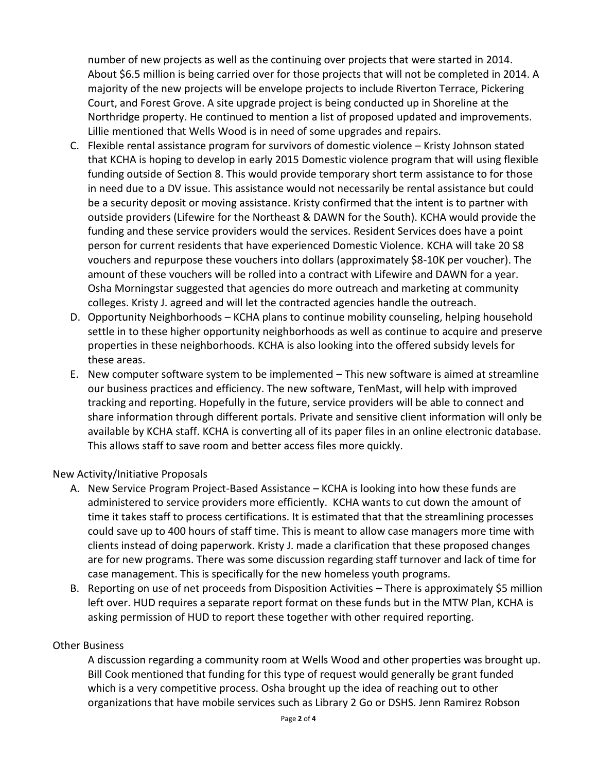number of new projects as well as the continuing over projects that were started in 2014. About \$6.5 million is being carried over for those projects that will not be completed in 2014. A majority of the new projects will be envelope projects to include Riverton Terrace, Pickering Court, and Forest Grove. A site upgrade project is being conducted up in Shoreline at the Northridge property. He continued to mention a list of proposed updated and improvements. Lillie mentioned that Wells Wood is in need of some upgrades and repairs.

- C. Flexible rental assistance program for survivors of domestic violence Kristy Johnson stated that KCHA is hoping to develop in early 2015 Domestic violence program that will using flexible funding outside of Section 8. This would provide temporary short term assistance to for those in need due to a DV issue. This assistance would not necessarily be rental assistance but could be a security deposit or moving assistance. Kristy confirmed that the intent is to partner with outside providers (Lifewire for the Northeast & DAWN for the South). KCHA would provide the funding and these service providers would the services. Resident Services does have a point person for current residents that have experienced Domestic Violence. KCHA will take 20 S8 vouchers and repurpose these vouchers into dollars (approximately \$8-10K per voucher). The amount of these vouchers will be rolled into a contract with Lifewire and DAWN for a year. Osha Morningstar suggested that agencies do more outreach and marketing at community colleges. Kristy J. agreed and will let the contracted agencies handle the outreach.
- D. Opportunity Neighborhoods KCHA plans to continue mobility counseling, helping household settle in to these higher opportunity neighborhoods as well as continue to acquire and preserve properties in these neighborhoods. KCHA is also looking into the offered subsidy levels for these areas.
- E. New computer software system to be implemented This new software is aimed at streamline our business practices and efficiency. The new software, TenMast, will help with improved tracking and reporting. Hopefully in the future, service providers will be able to connect and share information through different portals. Private and sensitive client information will only be available by KCHA staff. KCHA is converting all of its paper files in an online electronic database. This allows staff to save room and better access files more quickly.

## New Activity/Initiative Proposals

- A. New Service Program Project-Based Assistance KCHA is looking into how these funds are administered to service providers more efficiently. KCHA wants to cut down the amount of time it takes staff to process certifications. It is estimated that that the streamlining processes could save up to 400 hours of staff time. This is meant to allow case managers more time with clients instead of doing paperwork. Kristy J. made a clarification that these proposed changes are for new programs. There was some discussion regarding staff turnover and lack of time for case management. This is specifically for the new homeless youth programs.
- B. Reporting on use of net proceeds from Disposition Activities There is approximately \$5 million left over. HUD requires a separate report format on these funds but in the MTW Plan, KCHA is asking permission of HUD to report these together with other required reporting.

## Other Business

A discussion regarding a community room at Wells Wood and other properties was brought up. Bill Cook mentioned that funding for this type of request would generally be grant funded which is a very competitive process. Osha brought up the idea of reaching out to other organizations that have mobile services such as Library 2 Go or DSHS. Jenn Ramirez Robson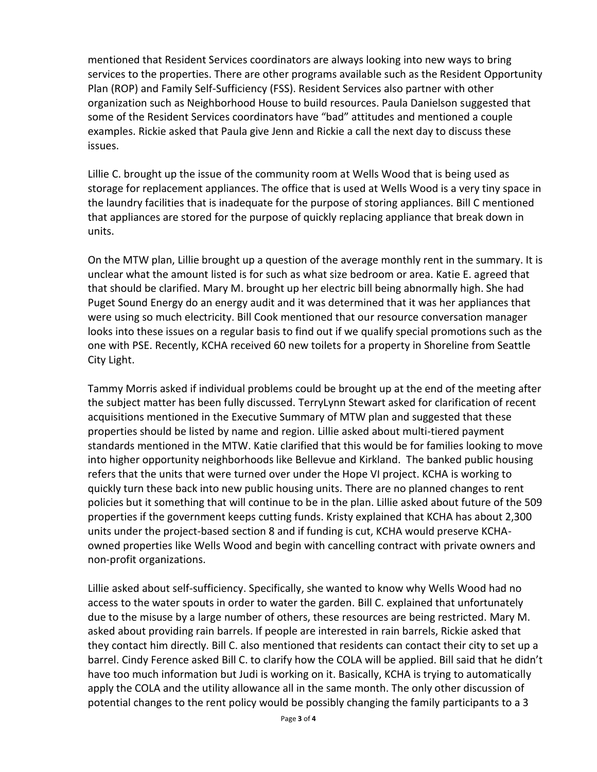mentioned that Resident Services coordinators are always looking into new ways to bring services to the properties. There are other programs available such as the Resident Opportunity Plan (ROP) and Family Self-Sufficiency (FSS). Resident Services also partner with other organization such as Neighborhood House to build resources. Paula Danielson suggested that some of the Resident Services coordinators have "bad" attitudes and mentioned a couple examples. Rickie asked that Paula give Jenn and Rickie a call the next day to discuss these issues.

Lillie C. brought up the issue of the community room at Wells Wood that is being used as storage for replacement appliances. The office that is used at Wells Wood is a very tiny space in the laundry facilities that is inadequate for the purpose of storing appliances. Bill C mentioned that appliances are stored for the purpose of quickly replacing appliance that break down in units.

On the MTW plan, Lillie brought up a question of the average monthly rent in the summary. It is unclear what the amount listed is for such as what size bedroom or area. Katie E. agreed that that should be clarified. Mary M. brought up her electric bill being abnormally high. She had Puget Sound Energy do an energy audit and it was determined that it was her appliances that were using so much electricity. Bill Cook mentioned that our resource conversation manager looks into these issues on a regular basis to find out if we qualify special promotions such as the one with PSE. Recently, KCHA received 60 new toilets for a property in Shoreline from Seattle City Light.

Tammy Morris asked if individual problems could be brought up at the end of the meeting after the subject matter has been fully discussed. TerryLynn Stewart asked for clarification of recent acquisitions mentioned in the Executive Summary of MTW plan and suggested that these properties should be listed by name and region. Lillie asked about multi-tiered payment standards mentioned in the MTW. Katie clarified that this would be for families looking to move into higher opportunity neighborhoods like Bellevue and Kirkland. The banked public housing refers that the units that were turned over under the Hope VI project. KCHA is working to quickly turn these back into new public housing units. There are no planned changes to rent policies but it something that will continue to be in the plan. Lillie asked about future of the 509 properties if the government keeps cutting funds. Kristy explained that KCHA has about 2,300 units under the project-based section 8 and if funding is cut, KCHA would preserve KCHAowned properties like Wells Wood and begin with cancelling contract with private owners and non-profit organizations.

Lillie asked about self-sufficiency. Specifically, she wanted to know why Wells Wood had no access to the water spouts in order to water the garden. Bill C. explained that unfortunately due to the misuse by a large number of others, these resources are being restricted. Mary M. asked about providing rain barrels. If people are interested in rain barrels, Rickie asked that they contact him directly. Bill C. also mentioned that residents can contact their city to set up a barrel. Cindy Ference asked Bill C. to clarify how the COLA will be applied. Bill said that he didn't have too much information but Judi is working on it. Basically, KCHA is trying to automatically apply the COLA and the utility allowance all in the same month. The only other discussion of potential changes to the rent policy would be possibly changing the family participants to a 3